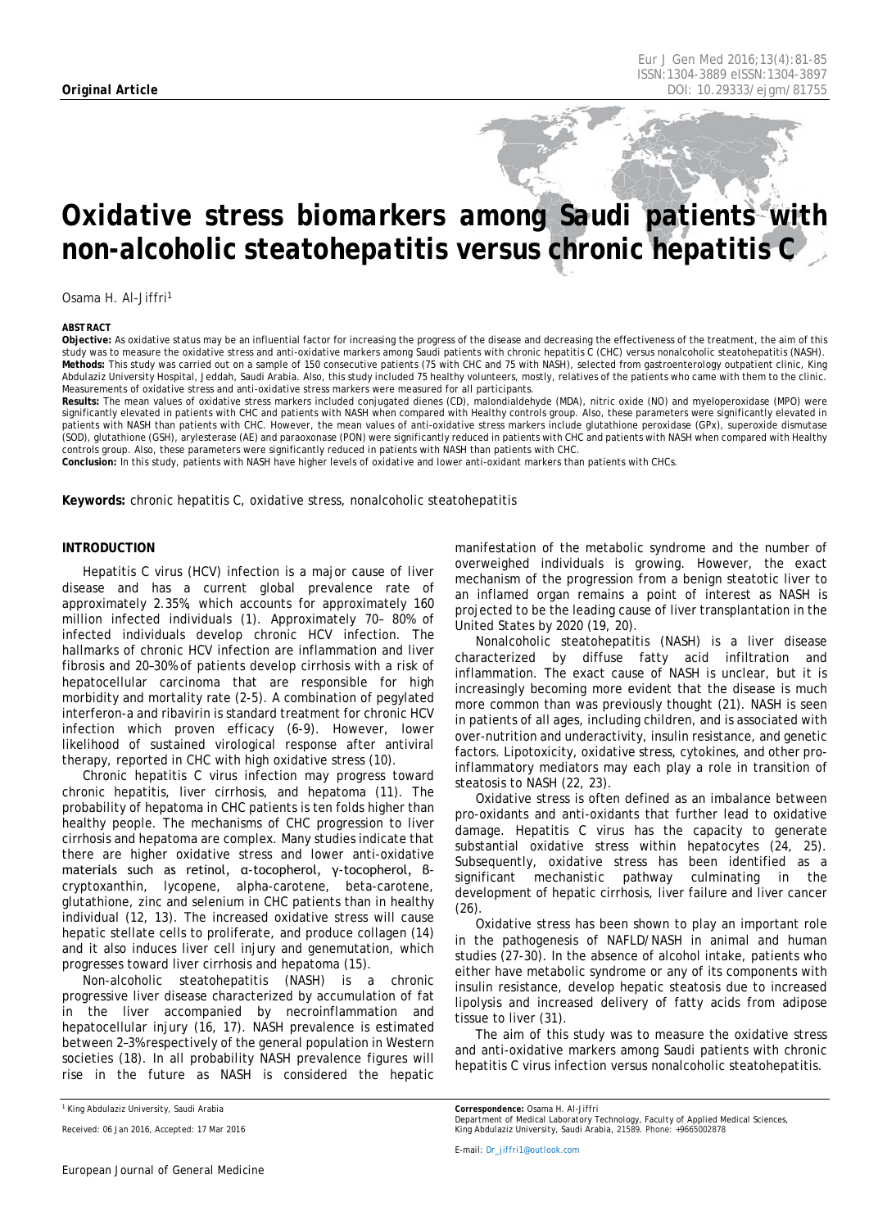# *Oxidative stress biomarkers among Saudi patients with non-alcoholic steatohepatitis versus chronic hepatitis C*

Osama H. Al-Jiffri1

#### <span id="page-0-0"></span>*ABSTRACT*

**Objective:** As oxidative status may be an influential factor for increasing the progress of the disease and decreasing the effectiveness of the treatment, the aim of this study was to measure the oxidative stress and anti-oxidative markers among Saudi patients with chronic hepatitis C (CHC) versus nonalcoholic steatohepatitis (NASH). **Methods:** This study was carried out on a sample of 150 consecutive patients (75 with CHC and 75 with NASH), selected from gastroenterology outpatient clinic, King Abdulaziz University Hospital, Jeddah, Saudi Arabia. Also, this study included 75 healthy volunteers, mostly, relatives of the patients who came with them to the clinic. Measurements of oxidative stress and anti-oxidative stress markers were measured for all participants.

**Results:** The mean values of oxidative stress markers included conjugated dienes (CD), malondialdehyde (MDA), nitric oxide (NO) and myeloperoxidase (MPO) were significantly elevated in patients with CHC and patients with NASH when compared with Healthy controls group. Also, these parameters were significantly elevated in patients with NASH than patients with CHC. However, the mean values of anti-oxidative stress markers include glutathione peroxidase (GPx), superoxide dismutase (SOD), glutathione (GSH), arylesterase (AE) and paraoxonase (PON) were significantly reduced in patients with CHC and patients with NASH when compared with Healthy controls group. Also, these parameters were significantly reduced in patients with NASH than patients with CHC.

**Conclusion:** In this study, patients with NASH have higher levels of oxidative and lower anti-oxidant markers than patients with CHCs.

**Keywords:** chronic hepatitis C, oxidative stress, nonalcoholic steatohepatitis

#### **INTRODUCTION**

Hepatitis C virus (HCV) infection is a major cause of liver disease and has a current global prevalence rate of approximately 2.35%, which accounts for approximately 160 million infected individuals (1). Approximately 70– 80% of infected individuals develop chronic HCV infection. The hallmarks of chronic HCV infection are inflammation and liver fibrosis and 20–30% of patients develop cirrhosis with a risk of hepatocellular carcinoma that are responsible for high morbidity and mortality rate (2-5). A combination of pegylated interferon-a and ribavirin is standard treatment for chronic HCV infection which proven efficacy (6-9). However, lower likelihood of sustained virological response after antiviral therapy, reported in CHC with high oxidative stress (10).

Chronic hepatitis C virus infection may progress toward chronic hepatitis, liver cirrhosis, and hepatoma (11). The probability of hepatoma in CHC patients is ten folds higher than healthy people. The mechanisms of CHC progression to liver cirrhosis and hepatoma are complex. Many studies indicate that there are higher oxidative stress and lower anti-oxidative materials such as retinol, α-tocopherol, γ-tocopherol, βcryptoxanthin, lycopene, alpha-carotene, beta-carotene, glutathione, zinc and selenium in CHC patients than in healthy individual (12, 13). The increased oxidative stress will cause hepatic stellate cells to proliferate, and produce collagen (14) and it also induces liver cell injury and genemutation, which progresses toward liver cirrhosis and hepatoma (15).

Non-alcoholic steatohepatitis (NASH) is a chronic progressive liver disease characterized by accumulation of fat in the liver accompanied by necroinflammation and hepatocellular injury (16, 17). NASH prevalence is estimated between 2–3% respectively of the general population in Western societies (18). In all probability NASH prevalence figures will rise in the future as NASH is considered the hepatic

manifestation of the metabolic syndrome and the number of overweighed individuals is growing. However, the exact mechanism of the progression from a benign steatotic liver to an inflamed organ remains a point of interest as NASH is projected to be the leading cause of liver transplantation in the United States by 2020 (19, 20).

Nonalcoholic steatohepatitis (NASH) is a liver disease characterized by diffuse fatty acid infiltration and inflammation. The exact cause of NASH is unclear, but it is increasingly becoming more evident that the disease is much more common than was previously thought (21). NASH is seen in patients of all ages, including children, and is associated with over-nutrition and underactivity, insulin resistance, and genetic factors. Lipotoxicity, oxidative stress, cytokines, and other proinflammatory mediators may each play a role in transition of steatosis to NASH (22, 23).

Oxidative stress is often defined as an imbalance between pro-oxidants and anti-oxidants that further lead to oxidative damage. Hepatitis C virus has the capacity to generate substantial oxidative stress within hepatocytes (24, 25). Subsequently, oxidative stress has been identified as a significant mechanistic pathway culminating in the development of hepatic cirrhosis, liver failure and liver cancer  $(26)$ 

Oxidative stress has been shown to play an important role in the pathogenesis of NAFLD/NASH in animal and human studies (27-30). In the absence of alcohol intake, patients who either have metabolic syndrome or any of its components with insulin resistance, develop hepatic steatosis due to increased lipolysis and increased delivery of fatty acids from adipose tissue to liver (31).

The aim of this study was to measure the oxidative stress and anti-oxidative markers among Saudi patients with chronic hepatitis C virus infection versus nonalcoholic steatohepatitis.

*<sup>1</sup> King Abdulaziz University, Saudi Arabia*

*Received: 06 Jan 2016, Accepted: 17 Mar 2016*

*Correspondence: Osama H. Al-Jiffri*

*Department of Medical Laboratory Technology, Faculty of Applied Medical Sciences, King Abdulaziz University, Saudi Arabia, 21589. Phone: +9665002878*

*E-mail[: Dr\\_jiffri1@outlook.com](mailto:Dr_jiffri1@outlook.com)*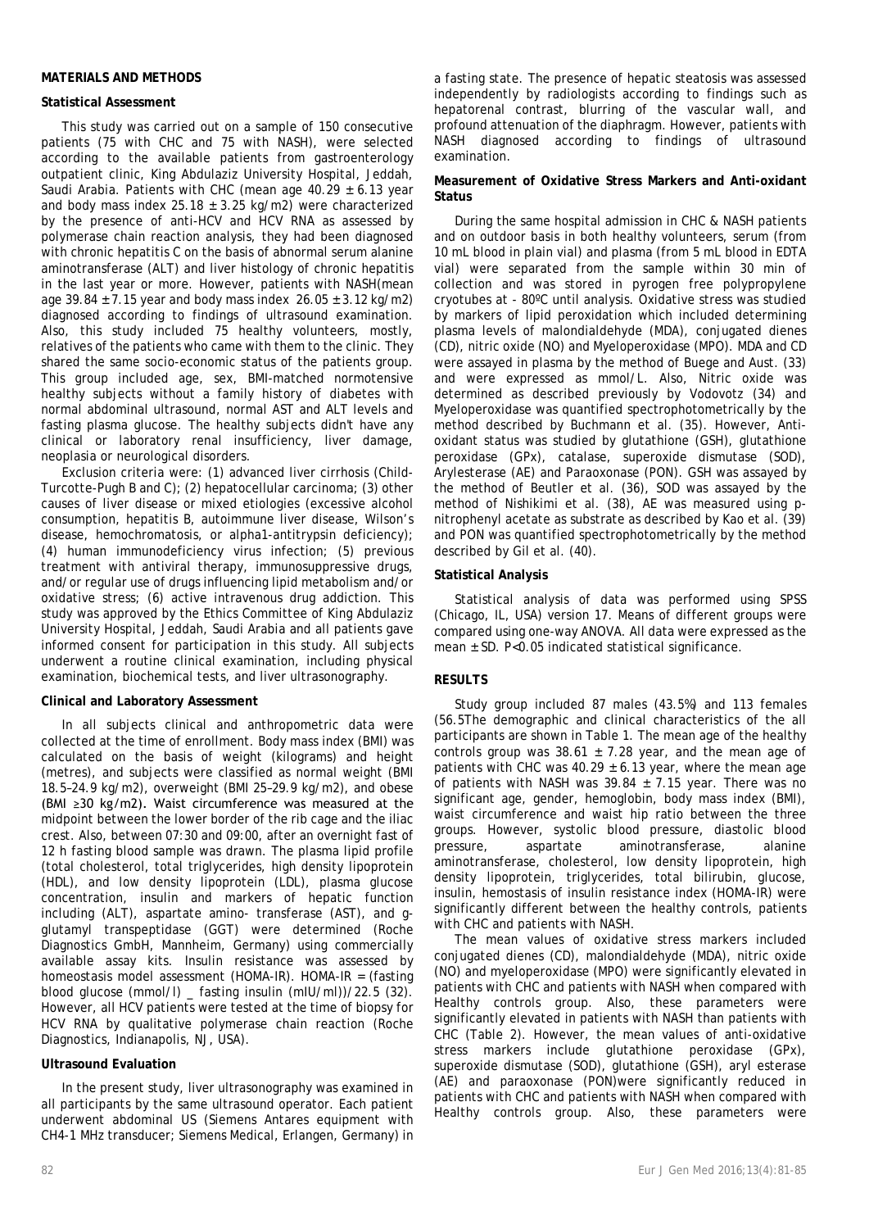# **MATERIALS AND METHODS**

# **Statistical Assessment**

This study was carried out on a sample of 150 consecutive patients (75 with CHC and 75 with NASH), were selected according to the available patients from gastroenterology outpatient clinic, King Abdulaziz University Hospital, Jeddah, Saudi Arabia. Patients with CHC (mean age  $40.29 \pm 6.13$  year and body mass index 25.18  $\pm$  3.25 kg/m2) were characterized by the presence of anti-HCV and HCV RNA as assessed by polymerase chain reaction analysis, they had been diagnosed with chronic hepatitis C on the basis of abnormal serum alanine aminotransferase (ALT) and liver histology of chronic hepatitis in the last year or more. However, patients with NASH(mean age  $39.84 \pm 7.15$  year and body mass index  $26.05 \pm 3.12$  kg/m2) diagnosed according to findings of ultrasound examination. Also, this study included 75 healthy volunteers, mostly, relatives of the patients who came with them to the clinic. They shared the same socio-economic status of the patients group. This group included age, sex, BMI-matched normotensive healthy subjects without a family history of diabetes with normal abdominal ultrasound, normal AST and ALT levels and fasting plasma glucose. The healthy subjects didn't have any clinical or laboratory renal insufficiency, liver damage, neoplasia or neurological disorders.

Exclusion criteria were: (1) advanced liver cirrhosis (Child-Turcotte-Pugh B and C); (2) hepatocellular carcinoma; (3) other causes of liver disease or mixed etiologies (excessive alcohol consumption, hepatitis B, autoimmune liver disease, Wilson's disease, hemochromatosis, or alpha1-antitrypsin deficiency); (4) human immunodeficiency virus infection; (5) previous treatment with antiviral therapy, immunosuppressive drugs, and/or regular use of drugs influencing lipid metabolism and/or oxidative stress; (6) active intravenous drug addiction. This study was approved by the Ethics Committee of King Abdulaziz University Hospital, Jeddah, Saudi Arabia and all patients gave informed consent for participation in this study. All subjects underwent a routine clinical examination, including physical examination, biochemical tests, and liver ultrasonography.

# **Clinical and Laboratory Assessment**

In all subjects clinical and anthropometric data were collected at the time of enrollment. Body mass index (BMI) was calculated on the basis of weight (kilograms) and height (metres), and subjects were classified as normal weight (BMI 18.5–24.9 kg/m2), overweight (BMI 25–29.9 kg/m2), and obese (BMI ≥30 kg/m2). Waist circumference was measured at the midpoint between the lower border of the rib cage and the iliac crest. Also, between 07:30 and 09:00, after an overnight fast of 12 h fasting blood sample was drawn. The plasma lipid profile (total cholesterol, total triglycerides, high density lipoprotein (HDL), and low density lipoprotein (LDL), plasma glucose concentration, insulin and markers of hepatic function including (ALT), aspartate amino- transferase (AST), and gglutamyl transpeptidase (GGT) were determined (Roche Diagnostics GmbH, Mannheim, Germany) using commercially available assay kits. Insulin resistance was assessed by homeostasis model assessment (HOMA-IR). HOMA-IR = (fasting blood glucose (mmol/l) \_ fasting insulin (mIU/ml))/22.5 (32). However, all HCV patients were tested at the time of biopsy for HCV RNA by qualitative polymerase chain reaction (Roche Diagnostics, Indianapolis, NJ, USA).

# **Ultrasound Evaluation**

In the present study, liver ultrasonography was examined in all participants by the same ultrasound operator. Each patient underwent abdominal US (Siemens Antares equipment with CH4-1 MHz transducer; Siemens Medical, Erlangen, Germany) in

a fasting state. The presence of hepatic steatosis was assessed independently by radiologists according to findings such as hepatorenal contrast, blurring of the vascular wall, and profound attenuation of the diaphragm. However, patients with NASH diagnosed according to findings of ultrasound examination.

### **Measurement of Oxidative Stress Markers and Anti-oxidant Status**

During the same hospital admission in CHC & NASH patients and on outdoor basis in both healthy volunteers, serum (from 10 mL blood in plain vial) and plasma (from 5 mL blood in EDTA vial) were separated from the sample within 30 min of collection and was stored in pyrogen free polypropylene cryotubes at - 80ºC until analysis. Oxidative stress was studied by markers of lipid peroxidation which included determining plasma levels of malondialdehyde (MDA), conjugated dienes (CD), nitric oxide (NO) and Myeloperoxidase (MPO). MDA and CD were assayed in plasma by the method of Buege and Aust. (33) and were expressed as mmol/L. Also, Nitric oxide was determined as described previously by Vodovotz (34) and Myeloperoxidase was quantified spectrophotometrically by the method described by Buchmann et al. (35). However, Antioxidant status was studied by glutathione (GSH), glutathione peroxidase (GPx), catalase, superoxide dismutase (SOD), Arylesterase (AE) and Paraoxonase (PON). GSH was assayed by the method of Beutler et al. (36), SOD was assayed by the method of Nishikimi et al. (38), AE was measured using pnitrophenyl acetate as substrate as described by Kao et al. (39) and PON was quantified spectrophotometrically by the method described by Gil et al. (40).

### **Statistical Analysis**

Statistical analysis of data was performed using SPSS (Chicago, IL, USA) version 17. Means of different groups were compared using one-way ANOVA. All data were expressed as the mean ± SD. P<0.05 indicated statistical significance.

# **RESULTS**

Study group included 87 males (43.5%) and 113 females (56.5The demographic and clinical characteristics of the all participants are shown in Table 1. The mean age of the healthy controls group was  $38.61 \pm 7.28$  year, and the mean age of patients with CHC was  $40.29 \pm 6.13$  year, where the mean age of patients with NASH was  $39.84 \pm 7.15$  year. There was no significant age, gender, hemoglobin, body mass index (BMI), waist circumference and waist hip ratio between the three groups. However, systolic blood pressure, diastolic blood pressure, aspartate aminotransferase, alanine aminotransferase, cholesterol, low density lipoprotein, high density lipoprotein, triglycerides, total bilirubin, glucose, insulin, hemostasis of insulin resistance index (HOMA-IR) were significantly different between the healthy controls, patients with CHC and patients with NASH.

The mean values of oxidative stress markers included conjugated dienes (CD), malondialdehyde (MDA), nitric oxide (NO) and myeloperoxidase (MPO) were significantly elevated in patients with CHC and patients with NASH when compared with Healthy controls group. Also, these parameters were significantly elevated in patients with NASH than patients with CHC (Table 2). However, the mean values of anti-oxidative stress markers include glutathione peroxidase (GPx), superoxide dismutase (SOD), glutathione (GSH), aryl esterase (AE) and paraoxonase (PON)were significantly reduced in patients with CHC and patients with NASH when compared with Healthy controls group. Also, these parameters were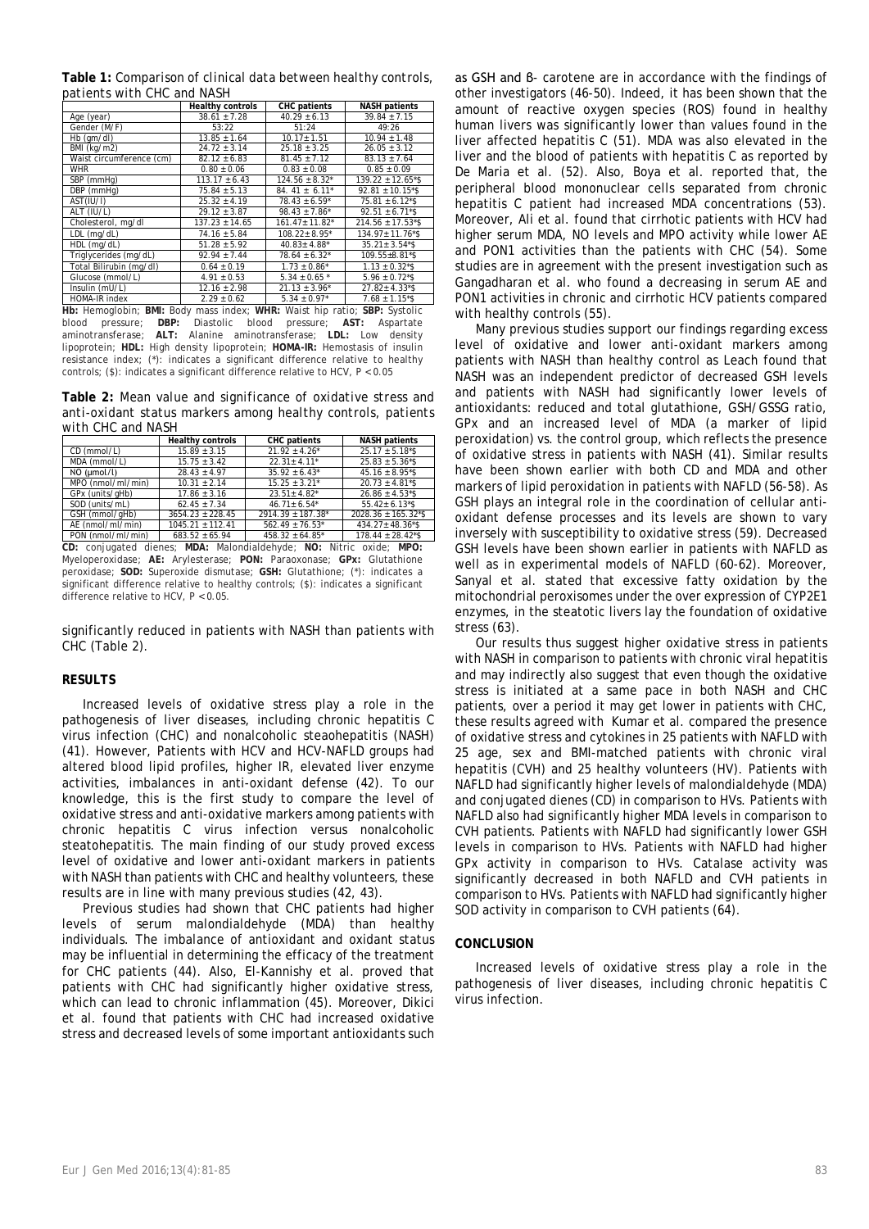**Table 1:** *Comparison of clinical data between healthy controls, patients with CHC and NASH*

|                                                                           | <b>Healthy controls</b> | CHC patients                   | <b>NASH</b> patients               |  |
|---------------------------------------------------------------------------|-------------------------|--------------------------------|------------------------------------|--|
| Age (year)                                                                | $38.61 \pm 7.28$        | $40.29 \pm 6.13$               | $39.84 \pm 7.15$                   |  |
| Gender (M/F)                                                              | 53:22                   | 51:24                          | 49:26                              |  |
| Hb (qm/dl)                                                                | $13.85 \pm 1.64$        | $10.17 + 1.51$                 | $10.94 \pm 1.48$                   |  |
| BMI (kg/m2)                                                               | $24.72 \pm 3.14$        | $25.18 \pm 3.25$               | $26.05 \pm 3.12$                   |  |
| Waist circumference (cm)                                                  | $82.12 \pm 6.83$        | $81.45 \pm 7.12$               | $83.13 \pm 7.64$                   |  |
| <b>WHR</b>                                                                | $0.80 \pm 0.06$         | $0.83 \pm 0.08$                | $0.85 \pm 0.09$                    |  |
| SBP (mmHq)                                                                | $113.17 \pm 6.43$       | $124.56 \pm 8.32^*$            | $139.22 \pm 12.65$ <sup>*</sup> \$ |  |
| DBP (mmHq)                                                                | $75.84 \pm 5.13$        | 84. 41 $\pm$ 6.11 <sup>*</sup> | $92.81 \pm 10.15$ <sup>*</sup> \$  |  |
| AST(IU/I)                                                                 | $25.32 \pm 4.19$        | $78.43 \pm 6.59^*$             | $75.81 \pm 6.12$ <sup>*</sup> \$   |  |
| ALT (IU/L)                                                                | $29.12 \pm 3.87$        | $98.43 \pm 7.86^*$             | $92.51 \pm 6.71$ <sup>*</sup> \$   |  |
| Cholesterol, mg/dl                                                        | $137.23 \pm 14.65$      | 161.47± 11.82*                 | $214.56 \pm 17.53$ *\$             |  |
| LDL (mg/dL)                                                               | $74.16 \pm 5.84$        | 108.22± 8.95*                  | $134.97 \pm 11.76$ *\$             |  |
| HDL (mg/dL)                                                               | $51.28 \pm 5.92$        | $40.83 \pm 4.88$ <sup>*</sup>  | $35.21 \pm 3.54$ <sup>*</sup> \$   |  |
| Triglycerides (mg/dL)                                                     | $92.94 + 7.44$          | $78.64 \pm 6.32^*$             | 109.55±8.81*\$                     |  |
| Total Bilirubin (mg/dl)                                                   | $0.64 \pm 0.19$         | $1.73 \pm 0.86^*$              | $1.13 \pm 0.32$ *\$                |  |
| Glucose (mmol/L)                                                          | $4.91 \pm 0.53$         | $5.34 \pm 0.65$ *              | $5.96 \pm 0.72$ <sup>*</sup> \$    |  |
| Insulin (mU/L)                                                            | $12.16 \pm 2.98$        | $21.13 \pm 3.96^*$             | $27.82 \pm 4.33$ <sup>*</sup> \$   |  |
| HOMA-IR index                                                             | $2.29 \pm 0.62$         | $5.34 \pm 0.97$ *              | $7.68 \pm 1.15$ <sup>*</sup> \$    |  |
| Hb: Hemoglobin; BMI: Body mass index; WHR: Waist hip ratio; SBP: Systolic |                         |                                |                                    |  |

blood pressure; **DBP:** Diastolic blood pressure; **AST:** Aspartate aminotransferase; **ALT:** Alanine aminotransferase; **LDL:** Low density lipoprotein; **HDL:** High density lipoprotein; **HOMA-IR:** Hemostasis of insulin resistance index; (\*): indicates a significant difference relative to healthy controls; (\$): indicates a significant difference relative to HCV, P < 0.05

**Table 2:** *Mean value and significance of oxidative stress and anti-oxidant status markers among healthy controls, patients with CHC and NASH*

|                   | <b>Healthy controls</b> | <b>CHC</b> patients  | <b>NASH patients</b>                 |
|-------------------|-------------------------|----------------------|--------------------------------------|
| CD (mmol/L)       | $15.89 \pm 3.15$        | $21.92 + 4.26*$      | $25.17 \pm 5.18$ <sup>*</sup> \$     |
| MDA (mmol/L)      | $15.75 \pm 3.42$        | $22.31 + 4.11*$      | $25.83 \pm 5.36$ <sup>*</sup> \$     |
| $NO$ ( $µmol/l$ ) | $28.43 \pm 4.97$        | $35.92 \pm 6.43^*$   | $45.16 \pm 8.95$ <sup>*</sup> \$     |
| MPO (nmol/ml/min) | $10.31 \pm 2.14$        | $15.25 \pm 3.21^*$   | $20.73 \pm 4.81$ <sup>*</sup> \$     |
| GPx (units/aHb)   | $17.86 + 3.16$          | $23.51 + 4.82^*$     | $26.86 \pm 4.53$ <sup>*</sup> \$     |
| SOD (units/mL)    | $62.45 + 7.34$          | $46.71 \pm 6.54$ *   | $55.42 \pm 6.13$ <sup>*</sup> \$     |
| GSH (mmol/qHb)    | $3654.23 + 228.45$      | 2914.39 ± 187.38*    | $2028.36 \pm 165.32$ <sup>*</sup> \$ |
| AE (nmol/ml/min)  | $1045.21 + 112.41$      | $562.49 + 76.53*$    | $434.27 \pm 48.36$ <sup>*</sup> \$   |
| PON (nmol/ml/min) | $683.52 \pm 65.94$      | $458.32 \pm 64.85$ * | $178.44 \pm 28.42$ <sup>*</sup> \$   |

**CD:** conjugated dienes; **MDA:** Malondialdehyde; **NO:** Nitric oxide; **MPO:** Myeloperoxidase; **AE:** Arylesterase; **PON:** Paraoxonase; **GPx:** Glutathione peroxidase; **SOD:** Superoxide dismutase; **GSH:** Glutathione; (\*): indicates a significant difference relative to healthy controls; (\$): indicates a significant difference relative to HCV, P < 0.05.

significantly reduced in patients with NASH than patients with CHC (Table 2).

# **RESULTS**

Increased levels of oxidative stress play a role in the pathogenesis of liver diseases, including chronic hepatitis C virus infection (CHC) and nonalcoholic steaohepatitis (NASH) (41). However, Patients with HCV and HCV-NAFLD groups had altered blood lipid profiles, higher IR, elevated liver enzyme activities, imbalances in anti-oxidant defense (42). To our knowledge, this is the first study to compare the level of oxidative stress and anti-oxidative markers among patients with chronic hepatitis C virus infection versus nonalcoholic steatohepatitis. The main finding of our study proved excess level of oxidative and lower anti-oxidant markers in patients with NASH than patients with CHC and healthy volunteers, these results are in line with many previous studies (42, 43).

Previous studies had shown that CHC patients had higher levels of serum malondialdehyde (MDA) than healthy individuals. The imbalance of antioxidant and oxidant status may be influential in determining the efficacy of the treatment for CHC patients (44). Also, El-Kannishy et al. proved that patients with CHC had significantly higher oxidative stress, which can lead to chronic inflammation (45). Moreover, Dikici et al. found that patients with CHC had increased oxidative stress and decreased levels of some important antioxidants such

as GSH and β- carotene are in accordance with the findings of other investigators (46-50). Indeed, it has been shown that the amount of reactive oxygen species (ROS) found in healthy human livers was significantly lower than values found in the liver affected hepatitis C (51). MDA was also elevated in the liver and the blood of patients with hepatitis C as reported by De Maria et al. (52). Also, Boya et al. reported that, the peripheral blood mononuclear cells separated from chronic hepatitis C patient had increased MDA concentrations (53). Moreover, Ali et al. found that cirrhotic patients with HCV had higher serum MDA, NO levels and MPO activity while lower AE and PON1 activities than the patients with CHC (54). Some studies are in agreement with the present investigation such as Gangadharan et al. who found a decreasing in serum AE and PON1 activities in chronic and cirrhotic HCV patients compared with healthy controls (55).

Many previous studies support our findings regarding excess level of oxidative and lower anti-oxidant markers among patients with NASH than healthy control as Leach found that NASH was an independent predictor of decreased GSH levels and patients with NASH had significantly lower levels of antioxidants: reduced and total glutathione, GSH/GSSG ratio, GPx and an increased level of MDA (a marker of lipid peroxidation) vs. the control group, which reflects the presence of oxidative stress in patients with NASH (41). Similar results have been shown earlier with both CD and MDA and other markers of lipid peroxidation in patients with NAFLD (56-58). As GSH plays an integral role in the coordination of cellular antioxidant defense processes and its levels are shown to vary inversely with susceptibility to oxidative stress (59). Decreased GSH levels have been shown earlier in patients with NAFLD as well as in experimental models of NAFLD (60-62). Moreover, Sanyal et al. stated that excessive fatty oxidation by the mitochondrial peroxisomes under the over expression of CYP2E1 enzymes, in the steatotic livers lay the foundation of oxidative stress (63).

Our results thus suggest higher oxidative stress in patients with NASH in comparison to patients with chronic viral hepatitis and may indirectly also suggest that even though the oxidative stress is initiated at a same pace in both NASH and CHC patients, over a period it may get lower in patients with CHC, these results agreed with Kumar et al. compared the presence of oxidative stress and cytokines in 25 patients with NAFLD with 25 age, sex and BMI-matched patients with chronic viral hepatitis (CVH) and 25 healthy volunteers (HV). Patients with NAFLD had significantly higher levels of malondialdehyde (MDA) and conjugated dienes (CD) in comparison to HVs. Patients with NAFLD also had significantly higher MDA levels in comparison to CVH patients. Patients with NAFLD had significantly lower GSH levels in comparison to HVs. Patients with NAFLD had higher GPx activity in comparison to HVs. Catalase activity was significantly decreased in both NAFLD and CVH patients in comparison to HVs. Patients with NAFLD had significantly higher SOD activity in comparison to CVH patients (64).

# **CONCLUSION**

Increased levels of oxidative stress play a role in the pathogenesis of liver diseases, including chronic hepatitis C virus infection.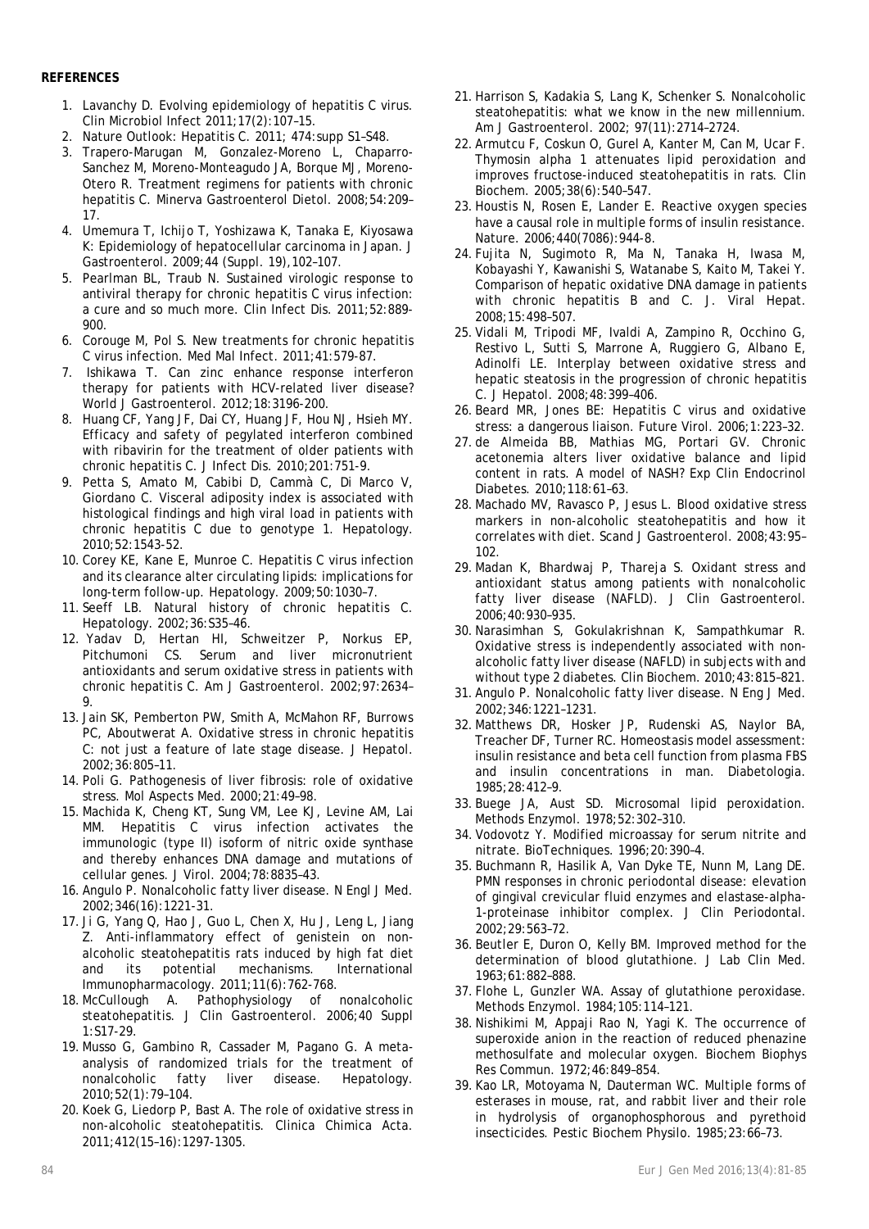# **REFERENCES**

- 1. Lavanchy D. Evolving epidemiology of hepatitis C virus. Clin Microbiol Infect 2011;17(2):107–15.
- 2. Nature Outlook: Hepatitis C. 2011; 474:supp S1–S48.
- 3. Trapero-Marugan M, Gonzalez-Moreno L, Chaparro-Sanchez M, Moreno-Monteagudo JA, Borque MJ, Moreno-Otero R. Treatment regimens for patients with chronic hepatitis C. Minerva Gastroenterol Dietol. 2008;54:209– 17.
- 4. Umemura T, Ichijo T, Yoshizawa K, Tanaka E, Kiyosawa K: Epidemiology of hepatocellular carcinoma in Japan. J Gastroenterol. 2009;44 (Suppl. 19),102–107.
- 5. Pearlman BL, Traub N. Sustained virologic response to antiviral therapy for chronic hepatitis C virus infection: a cure and so much more. Clin Infect Dis. 2011;52:889- 900.
- 6. Corouge M, Pol S. New treatments for chronic hepatitis C virus infection. Med Mal Infect. 2011;41:579-87.
- 7. Ishikawa T. Can zinc enhance response interferon therapy for patients with HCV-related liver disease? World J Gastroenterol. 2012;18:3196-200.
- 8. Huang CF, Yang JF, Dai CY, Huang JF, Hou NJ, Hsieh MY. Efficacy and safety of pegylated interferon combined with ribavirin for the treatment of older patients with chronic hepatitis C. J Infect Dis. 2010;201:751-9.
- 9. Petta S, Amato M, Cabibi D, Cammà C, Di Marco V, Giordano C. Visceral adiposity index is associated with histological findings and high viral load in patients with chronic hepatitis C due to genotype 1. Hepatology. 2010;52:1543-52.
- 10. Corey KE, Kane E, Munroe C. Hepatitis C virus infection and its clearance alter circulating lipids: implications for long-term follow-up. Hepatology. 2009;50:1030–7.
- 11. Seeff LB. Natural history of chronic hepatitis C. Hepatology. 2002;36:S35–46.
- 12. Yadav D, Hertan HI, Schweitzer P, Norkus EP, Pitchumoni CS. Serum and liver micronutrient antioxidants and serum oxidative stress in patients with chronic hepatitis C. Am J Gastroenterol. 2002;97:2634– 9.
- 13. Jain SK, Pemberton PW, Smith A, McMahon RF, Burrows PC, Aboutwerat A. Oxidative stress in chronic hepatitis C: not just a feature of late stage disease. J Hepatol. 2002;36:805–11.
- 14. Poli G. Pathogenesis of liver fibrosis: role of oxidative stress. Mol Aspects Med. 2000;21:49–98.
- 15. Machida K, Cheng KT, Sung VM, Lee KJ, Levine AM, Lai MM. Hepatitis C virus infection activates the immunologic (type II) isoform of nitric oxide synthase and thereby enhances DNA damage and mutations of cellular genes. J Virol. 2004;78:8835–43.
- 16. Angulo P. Nonalcoholic fatty liver disease. N Engl J Med. 2002;346(16):1221-31.
- 17. Ji G, Yang Q, Hao J, Guo L, Chen X, Hu J, Leng L, Jiang Z. Anti-inflammatory effect of genistein on nonalcoholic steatohepatitis rats induced by high fat diet and its potential mechanisms. International Immunopharmacology. 2011;11(6):762-768.
- 18. McCullough A. Pathophysiology of nonalcoholic steatohepatitis. J Clin Gastroenterol. 2006;40 Suppl 1:S17-29.
- 19. Musso G, Gambino R, Cassader M, Pagano G. A metaanalysis of randomized trials for the treatment of nonalcoholic fatty liver disease. Hepatology. 2010;52(1):79–104.
- 20. Koek G, Liedorp P, Bast A. The role of oxidative stress in non-alcoholic steatohepatitis. Clinica Chimica Acta. 2011;412(15–16):1297-1305.
- 21. Harrison S, Kadakia S, Lang K, Schenker S. Nonalcoholic steatohepatitis: what we know in the new millennium. Am J Gastroenterol. 2002; 97(11):2714–2724.
- 22. Armutcu F, Coskun O, Gurel A, Kanter M, Can M, Ucar F. Thymosin alpha 1 attenuates lipid peroxidation and improves fructose-induced steatohepatitis in rats. Clin Biochem. 2005;38(6):540–547.
- 23. Houstis N, Rosen E, Lander E. Reactive oxygen species have a causal role in multiple forms of insulin resistance. Nature. 2006;440(7086):944-8.
- 24. Fujita N, Sugimoto R, Ma N, Tanaka H, Iwasa M, Kobayashi Y, Kawanishi S, Watanabe S, Kaito M, Takei Y. Comparison of hepatic oxidative DNA damage in patients with chronic hepatitis B and C. J. Viral Hepat. 2008;15:498–507.
- 25. Vidali M, Tripodi MF, Ivaldi A, Zampino R, Occhino G, Restivo L, Sutti S, Marrone A, Ruggiero G, Albano E, Adinolfi LE. Interplay between oxidative stress and hepatic steatosis in the progression of chronic hepatitis C. J Hepatol. 2008;48:399–406.
- 26. Beard MR, Jones BE: Hepatitis C virus and oxidative stress: a dangerous liaison. Future Virol. 2006;1:223–32.
- 27. de Almeida BB, Mathias MG, Portari GV. Chronic acetonemia alters liver oxidative balance and lipid content in rats. A model of NASH? Exp Clin Endocrinol Diabetes. 2010;118:61–63.
- 28. Machado MV, Ravasco P, Jesus L. Blood oxidative stress markers in non-alcoholic steatohepatitis and how it correlates with diet. Scand J Gastroenterol. 2008;43:95– 102.
- 29. Madan K, Bhardwaj P, Thareja S. Oxidant stress and antioxidant status among patients with nonalcoholic fatty liver disease (NAFLD). J Clin Gastroenterol. 2006;40:930–935.
- 30. Narasimhan S, Gokulakrishnan K, Sampathkumar R. Oxidative stress is independently associated with nonalcoholic fatty liver disease (NAFLD) in subjects with and without type 2 diabetes. Clin Biochem. 2010;43:815–821.
- 31. Angulo P. Nonalcoholic fatty liver disease. N Eng J Med. 2002;346:1221–1231.
- 32. Matthews DR, Hosker JP, Rudenski AS, Naylor BA, Treacher DF, Turner RC. Homeostasis model assessment: insulin resistance and beta cell function from plasma FBS and insulin concentrations in man. Diabetologia. 1985;28:412–9.
- 33. Buege JA, Aust SD. Microsomal lipid peroxidation. Methods Enzymol. 1978;52:302–310.
- 34. Vodovotz Y. Modified microassay for serum nitrite and nitrate. BioTechniques. 1996;20:390–4.
- 35. Buchmann R, Hasilik A, Van Dyke TE, Nunn M, Lang DE. PMN responses in chronic periodontal disease: elevation of gingival crevicular fluid enzymes and elastase-alpha-1-proteinase inhibitor complex. J Clin Periodontal. 2002;29:563–72.
- 36. Beutler E, Duron O, Kelly BM. Improved method for the determination of blood glutathione. J Lab Clin Med. 1963;61:882–888.
- 37. Flohe L, Gunzler WA. Assay of glutathione peroxidase. Methods Enzymol. 1984;105:114–121.
- 38. Nishikimi M, Appaji Rao N, Yagi K. The occurrence of superoxide anion in the reaction of reduced phenazine methosulfate and molecular oxygen. Biochem Biophys Res Commun. 1972;46:849–854.
- 39. Kao LR, Motoyama N, Dauterman WC. Multiple forms of esterases in mouse, rat, and rabbit liver and their role in hydrolysis of organophosphorous and pyrethoid insecticides. Pestic Biochem Physilo. 1985;23:66–73.